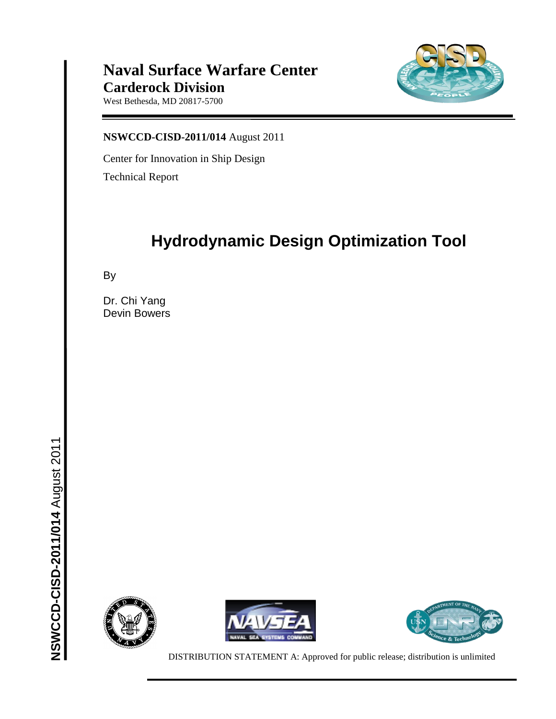### **Naval Surface Warfare Center Carderock Division**

West Bethesda, MD 20817-5700



**NSWCCD-CISD-2011/014** August 2011

Center for Innovation in Ship Design Technical Report

# **Hydrodynamic Design Optimization Tool**

By

Dr. Chi Yang Devin Bowers







DISTRIBUTION STATEMENT A: Approved for public release; distribution is unlimited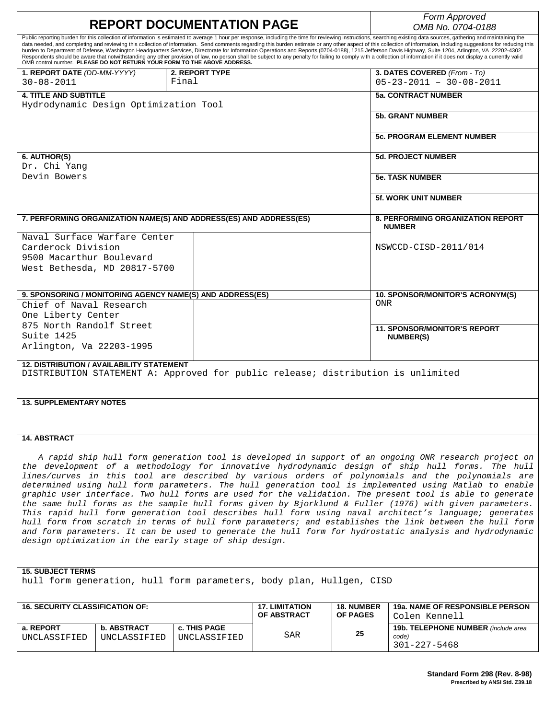| <b>REPORT DOCUMENTATION PAGE</b>                                                                                                                                                                                                                                                                                                                                                                                                                                                                                                                                                                                                                                                                                                                                                                                                                                                                                                                                                                                                    |                                |                                      |                                      | Form Approved<br>OMB No. 0704-0188                                |
|-------------------------------------------------------------------------------------------------------------------------------------------------------------------------------------------------------------------------------------------------------------------------------------------------------------------------------------------------------------------------------------------------------------------------------------------------------------------------------------------------------------------------------------------------------------------------------------------------------------------------------------------------------------------------------------------------------------------------------------------------------------------------------------------------------------------------------------------------------------------------------------------------------------------------------------------------------------------------------------------------------------------------------------|--------------------------------|--------------------------------------|--------------------------------------|-------------------------------------------------------------------|
| Public reporting burden for this collection of information is estimated to average 1 hour per response, including the time for reviewing instructions, searching existing data sources, gathering and maintaining the<br>data needed, and completing and reviewing this collection of information. Send comments regarding this burden estimate or any other aspect of this collection of information, including suggestions for reducing this<br>burden to Department of Defense, Washington Headquarters Services, Directorate for Information Operations and Reports (0704-0188), 1215 Jefferson Davis Highway, Suite 1204, Arlington, VA 22202-4302.<br>Respondents should be aware that notwithstanding any other provision of law, no person shall be subject to any penalty for failing to comply with a collection of information if it does not display a currently valid<br>OMB control number. PLEASE DO NOT RETURN YOUR FORM TO THE ABOVE ADDRESS.                                                                      |                                |                                      |                                      |                                                                   |
| 1. REPORT DATE (DD-MM-YYYY)<br>$30 - 08 - 2011$                                                                                                                                                                                                                                                                                                                                                                                                                                                                                                                                                                                                                                                                                                                                                                                                                                                                                                                                                                                     | <b>2. REPORT TYPE</b><br>Final |                                      |                                      | 3. DATES COVERED (From - To)<br>$05 - 23 - 2011 - 30 - 08 - 2011$ |
| <b>4. TITLE AND SUBTITLE</b>                                                                                                                                                                                                                                                                                                                                                                                                                                                                                                                                                                                                                                                                                                                                                                                                                                                                                                                                                                                                        |                                |                                      |                                      | <b>5a. CONTRACT NUMBER</b>                                        |
| Hydrodynamic Design Optimization Tool                                                                                                                                                                                                                                                                                                                                                                                                                                                                                                                                                                                                                                                                                                                                                                                                                                                                                                                                                                                               |                                |                                      |                                      | <b>5b. GRANT NUMBER</b>                                           |
|                                                                                                                                                                                                                                                                                                                                                                                                                                                                                                                                                                                                                                                                                                                                                                                                                                                                                                                                                                                                                                     |                                |                                      |                                      |                                                                   |
|                                                                                                                                                                                                                                                                                                                                                                                                                                                                                                                                                                                                                                                                                                                                                                                                                                                                                                                                                                                                                                     |                                |                                      |                                      | <b>5c. PROGRAM ELEMENT NUMBER</b>                                 |
| 6. AUTHOR(S)                                                                                                                                                                                                                                                                                                                                                                                                                                                                                                                                                                                                                                                                                                                                                                                                                                                                                                                                                                                                                        |                                |                                      |                                      | <b>5d. PROJECT NUMBER</b>                                         |
| Dr. Chi Yang<br>Devin Bowers                                                                                                                                                                                                                                                                                                                                                                                                                                                                                                                                                                                                                                                                                                                                                                                                                                                                                                                                                                                                        |                                |                                      |                                      | <b>5e. TASK NUMBER</b>                                            |
|                                                                                                                                                                                                                                                                                                                                                                                                                                                                                                                                                                                                                                                                                                                                                                                                                                                                                                                                                                                                                                     |                                |                                      |                                      |                                                                   |
|                                                                                                                                                                                                                                                                                                                                                                                                                                                                                                                                                                                                                                                                                                                                                                                                                                                                                                                                                                                                                                     |                                |                                      |                                      | <b>5f. WORK UNIT NUMBER</b>                                       |
| 7. PERFORMING ORGANIZATION NAME(S) AND ADDRESS(ES) AND ADDRESS(ES)                                                                                                                                                                                                                                                                                                                                                                                                                                                                                                                                                                                                                                                                                                                                                                                                                                                                                                                                                                  |                                |                                      |                                      | <b>8. PERFORMING ORGANIZATION REPORT</b>                          |
| Naval Surface Warfare Center                                                                                                                                                                                                                                                                                                                                                                                                                                                                                                                                                                                                                                                                                                                                                                                                                                                                                                                                                                                                        |                                |                                      |                                      | <b>NUMBER</b>                                                     |
| Carderock Division                                                                                                                                                                                                                                                                                                                                                                                                                                                                                                                                                                                                                                                                                                                                                                                                                                                                                                                                                                                                                  |                                |                                      |                                      | NSWCCD-CISD-2011/014                                              |
| 9500 Macarthur Boulevard                                                                                                                                                                                                                                                                                                                                                                                                                                                                                                                                                                                                                                                                                                                                                                                                                                                                                                                                                                                                            |                                |                                      |                                      |                                                                   |
| West Bethesda, MD 20817-5700                                                                                                                                                                                                                                                                                                                                                                                                                                                                                                                                                                                                                                                                                                                                                                                                                                                                                                                                                                                                        |                                |                                      |                                      |                                                                   |
|                                                                                                                                                                                                                                                                                                                                                                                                                                                                                                                                                                                                                                                                                                                                                                                                                                                                                                                                                                                                                                     |                                |                                      |                                      |                                                                   |
| 9. SPONSORING / MONITORING AGENCY NAME(S) AND ADDRESS(ES)                                                                                                                                                                                                                                                                                                                                                                                                                                                                                                                                                                                                                                                                                                                                                                                                                                                                                                                                                                           |                                |                                      |                                      | 10. SPONSOR/MONITOR'S ACRONYM(S)                                  |
| Chief of Naval Research                                                                                                                                                                                                                                                                                                                                                                                                                                                                                                                                                                                                                                                                                                                                                                                                                                                                                                                                                                                                             |                                |                                      | <b>ONR</b>                           |                                                                   |
| One Liberty Center                                                                                                                                                                                                                                                                                                                                                                                                                                                                                                                                                                                                                                                                                                                                                                                                                                                                                                                                                                                                                  |                                |                                      |                                      |                                                                   |
| 875 North Randolf Street<br>Suite 1425                                                                                                                                                                                                                                                                                                                                                                                                                                                                                                                                                                                                                                                                                                                                                                                                                                                                                                                                                                                              |                                |                                      |                                      | <b>11. SPONSOR/MONITOR'S REPORT</b>                               |
| Arlington, Va 22203-1995                                                                                                                                                                                                                                                                                                                                                                                                                                                                                                                                                                                                                                                                                                                                                                                                                                                                                                                                                                                                            |                                |                                      |                                      | <b>NUMBER(S)</b>                                                  |
|                                                                                                                                                                                                                                                                                                                                                                                                                                                                                                                                                                                                                                                                                                                                                                                                                                                                                                                                                                                                                                     |                                |                                      |                                      |                                                                   |
| <b>12. DISTRIBUTION / AVAILABILITY STATEMENT</b><br>DISTRIBUTION STATEMENT A: Approved for public release; distribution is unlimited                                                                                                                                                                                                                                                                                                                                                                                                                                                                                                                                                                                                                                                                                                                                                                                                                                                                                                |                                |                                      |                                      |                                                                   |
|                                                                                                                                                                                                                                                                                                                                                                                                                                                                                                                                                                                                                                                                                                                                                                                                                                                                                                                                                                                                                                     |                                |                                      |                                      |                                                                   |
| <b>13. SUPPLEMENTARY NOTES</b>                                                                                                                                                                                                                                                                                                                                                                                                                                                                                                                                                                                                                                                                                                                                                                                                                                                                                                                                                                                                      |                                |                                      |                                      |                                                                   |
|                                                                                                                                                                                                                                                                                                                                                                                                                                                                                                                                                                                                                                                                                                                                                                                                                                                                                                                                                                                                                                     |                                |                                      |                                      |                                                                   |
|                                                                                                                                                                                                                                                                                                                                                                                                                                                                                                                                                                                                                                                                                                                                                                                                                                                                                                                                                                                                                                     |                                |                                      |                                      |                                                                   |
| <b>14. ABSTRACT</b>                                                                                                                                                                                                                                                                                                                                                                                                                                                                                                                                                                                                                                                                                                                                                                                                                                                                                                                                                                                                                 |                                |                                      |                                      |                                                                   |
| A rapid ship hull form generation tool is developed in support of an ongoing ONR research project on<br>the development of a methodology for innovative hydrodynamic design of ship hull forms. The hull<br>lines/curves in this tool are described by various orders of polynomials and the polynomials are<br>determined using hull form parameters. The hull generation tool is implemented using Matlab to enable<br>graphic user interface. Two hull forms are used for the validation. The present tool is able to generate<br>the same hull forms as the sample hull forms given by Bjorklund & Fuller (1976) with given parameters.<br>This rapid hull form generation tool describes hull form using naval architect's language; generates<br>hull form from scratch in terms of hull form parameters; and establishes the link between the hull form<br>and form parameters. It can be used to generate the hull form for hydrostatic analysis and hydrodynamic<br>design optimization in the early stage of ship design. |                                |                                      |                                      |                                                                   |
| <b>15. SUBJECT TERMS</b>                                                                                                                                                                                                                                                                                                                                                                                                                                                                                                                                                                                                                                                                                                                                                                                                                                                                                                                                                                                                            |                                |                                      |                                      |                                                                   |
| hull form generation, hull form parameters, body plan, Hullgen, CISD                                                                                                                                                                                                                                                                                                                                                                                                                                                                                                                                                                                                                                                                                                                                                                                                                                                                                                                                                                |                                |                                      |                                      |                                                                   |
| <b>16. SECURITY CLASSIFICATION OF:</b>                                                                                                                                                                                                                                                                                                                                                                                                                                                                                                                                                                                                                                                                                                                                                                                                                                                                                                                                                                                              |                                |                                      |                                      |                                                                   |
|                                                                                                                                                                                                                                                                                                                                                                                                                                                                                                                                                                                                                                                                                                                                                                                                                                                                                                                                                                                                                                     |                                | <b>17. LIMITATION</b><br>OF ABSTRACT | <b>18. NUMBER</b><br><b>OF PAGES</b> | <b>19a. NAME OF RESPONSIBLE PERSON</b><br>Colen Kennell           |

| <b>16. SECURITY CLASSIFICATION OF:</b> |                                    |                                     | <b>TALLIMITATION</b> | <b>18. NUMBER</b> | <b>198. NAME OF RESPONSIBLE PERSON</b>                              |
|----------------------------------------|------------------------------------|-------------------------------------|----------------------|-------------------|---------------------------------------------------------------------|
|                                        |                                    |                                     | <b>OF ABSTRACT</b>   | <b>OF PAGES</b>   | Colen Kennell                                                       |
| a. REPORT<br>UNCLASSIFIED              | <b>b. ABSTRACT</b><br>UNCLASSIFIED | <b>c. THIS PAGE</b><br>UNCLASSIFIED | SAR                  | 25                | <b>19b. TELEPHONE NUMBER</b> (include area<br>code)<br>301-227-5468 |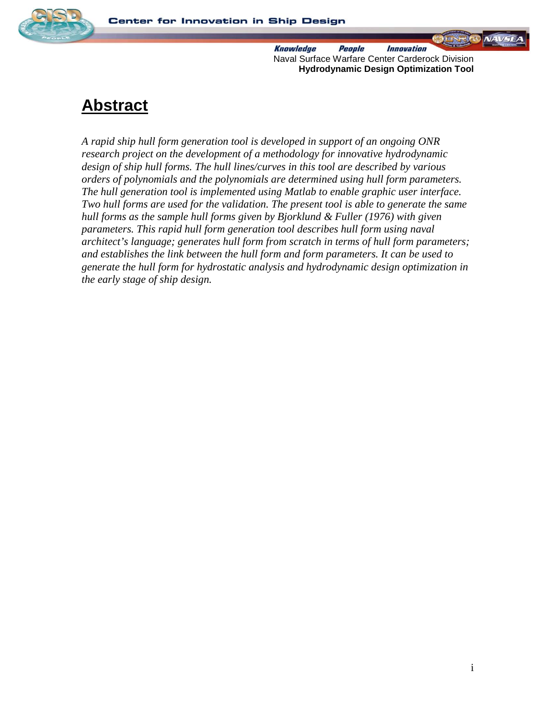

 $NAVSE$ 

## **Abstract**

*A rapid ship hull form generation tool is developed in support of an ongoing ONR research project on the development of a methodology for innovative hydrodynamic design of ship hull forms. The hull lines/curves in this tool are described by various orders of polynomials and the polynomials are determined using hull form parameters. The hull generation tool is implemented using Matlab to enable graphic user interface. Two hull forms are used for the validation. The present tool is able to generate the same hull forms as the sample hull forms given by Bjorklund & Fuller (1976) with given parameters. This rapid hull form generation tool describes hull form using naval architect's language; generates hull form from scratch in terms of hull form parameters; and establishes the link between the hull form and form parameters. It can be used to generate the hull form for hydrostatic analysis and hydrodynamic design optimization in the early stage of ship design.*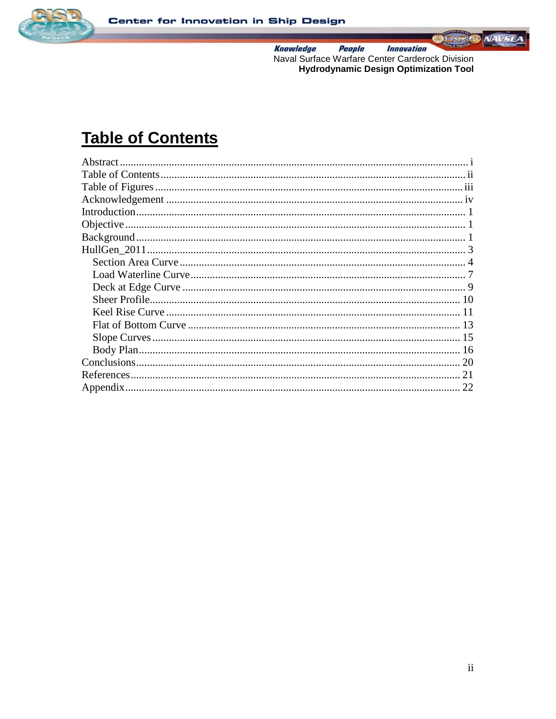



## **Table of Contents**

| Abstract. |    |
|-----------|----|
|           |    |
|           |    |
|           |    |
|           |    |
|           |    |
|           |    |
|           |    |
|           |    |
|           |    |
|           |    |
|           |    |
|           |    |
|           |    |
|           |    |
|           |    |
|           | 20 |
|           |    |
|           | 22 |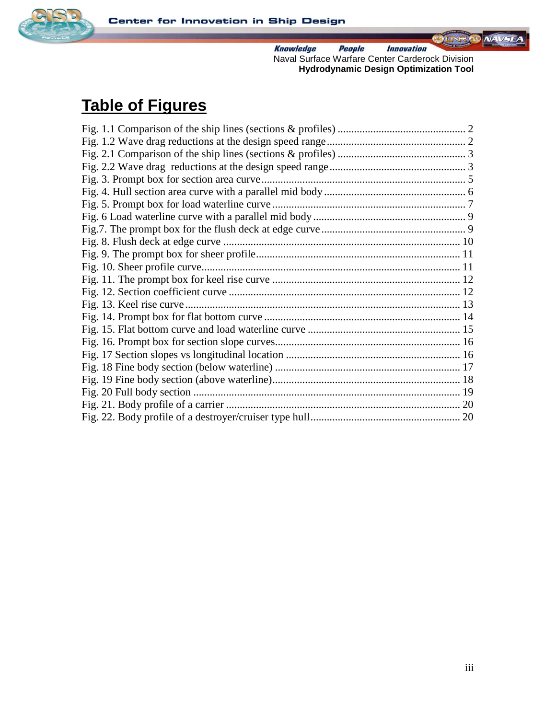



# **Table of Figures**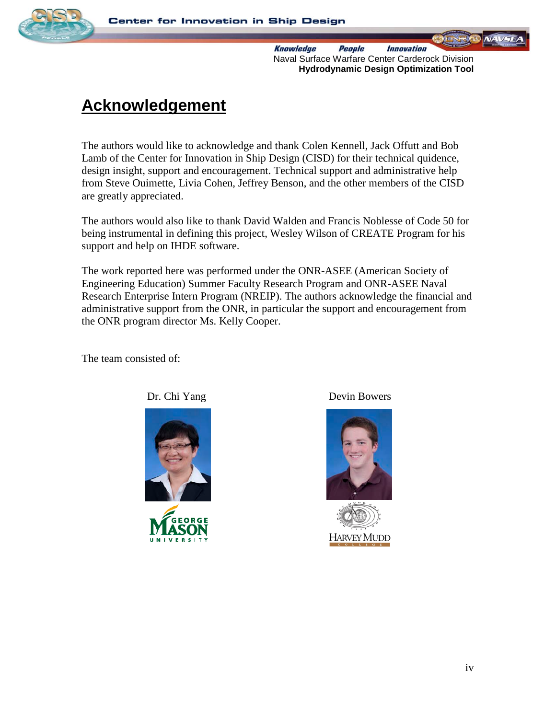

# **Acknowledgement**

The authors would like to acknowledge and thank Colen Kennell, Jack Offutt and Bob Lamb of the Center for Innovation in Ship Design (CISD) for their technical quidence, design insight, support and encouragement. Technical support and administrative help from Steve Ouimette, Livia Cohen, Jeffrey Benson, and the other members of the CISD are greatly appreciated.

The authors would also like to thank David Walden and Francis Noblesse of Code 50 for being instrumental in defining this project, Wesley Wilson of CREATE Program for his support and help on IHDE software.

The work reported here was performed under the ONR-ASEE (American Society of Engineering Education) Summer Faculty Research Program and ONR-ASEE Naval Research Enterprise Intern Program (NREIP). The authors acknowledge the financial and administrative support from the ONR, in particular the support and encouragement from the ONR program director Ms. Kelly Cooper.

The team consisted of:



Dr. Chi Yang Devin Bowers

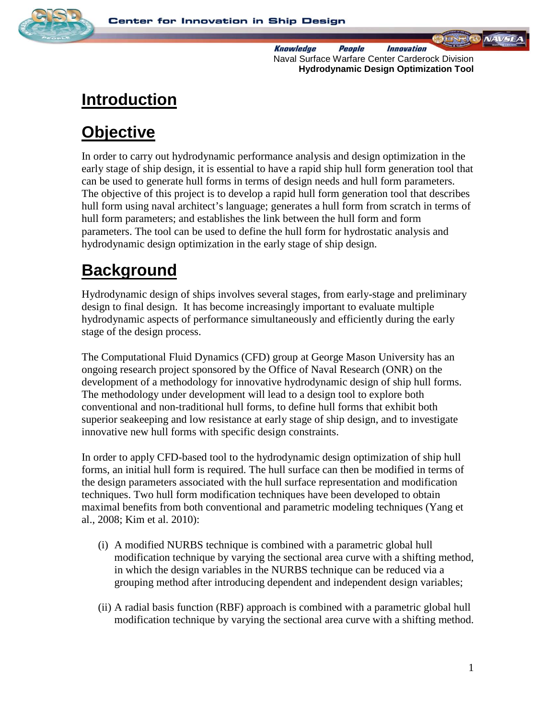



# **Introduction**

# **Objective**

In order to carry out hydrodynamic performance analysis and design optimization in the early stage of ship design, it is essential to have a rapid ship hull form generation tool that can be used to generate hull forms in terms of design needs and hull form parameters. The objective of this project is to develop a rapid hull form generation tool that describes hull form using naval architect's language; generates a hull form from scratch in terms of hull form parameters; and establishes the link between the hull form and form parameters. The tool can be used to define the hull form for hydrostatic analysis and hydrodynamic design optimization in the early stage of ship design.

# **Background**

Hydrodynamic design of ships involves several stages, from early-stage and preliminary design to final design. It has become increasingly important to evaluate multiple hydrodynamic aspects of performance simultaneously and efficiently during the early stage of the design process.

The Computational Fluid Dynamics (CFD) group at George Mason University has an ongoing research project sponsored by the Office of Naval Research (ONR) on the development of a methodology for innovative hydrodynamic design of ship hull forms. The methodology under development will lead to a design tool to explore both conventional and non-traditional hull forms, to define hull forms that exhibit both superior seakeeping and low resistance at early stage of ship design, and to investigate innovative new hull forms with specific design constraints.

In order to apply CFD-based tool to the hydrodynamic design optimization of ship hull forms, an initial hull form is required. The hull surface can then be modified in terms of the design parameters associated with the hull surface representation and modification techniques. Two hull form modification techniques have been developed to obtain maximal benefits from both conventional and parametric modeling techniques (Yang et al., 2008; Kim et al. 2010):

- (i) A modified NURBS technique is combined with a parametric global hull modification technique by varying the sectional area curve with a shifting method, in which the design variables in the NURBS technique can be reduced via a grouping method after introducing dependent and independent design variables;
- (ii) A radial basis function (RBF) approach is combined with a parametric global hull modification technique by varying the sectional area curve with a shifting method.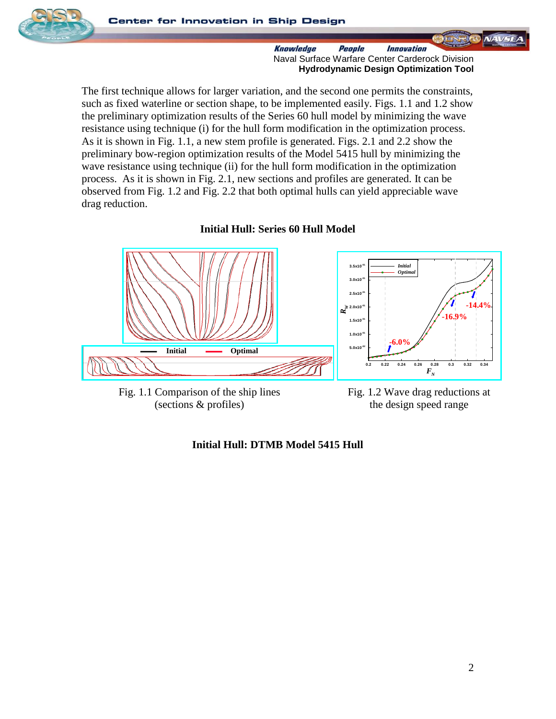

 $NAVSE$ 

The first technique allows for larger variation, and the second one permits the constraints, such as fixed waterline or section shape, to be implemented easily. Figs. 1.1 and 1.2 show the preliminary optimization results of the Series 60 hull model by minimizing the wave resistance using technique (i) for the hull form modification in the optimization process. As it is shown in Fig. 1.1, a new stem profile is generated. Figs. 2.1 and 2.2 show the preliminary bow-region optimization results of the Model 5415 hull by minimizing the wave resistance using technique (ii) for the hull form modification in the optimization process. As it is shown in Fig. 2.1, new sections and profiles are generated. It can be observed from Fig. 1.2 and Fig. 2.2 that both optimal hulls can yield appreciable wave drag reduction.





Fig. 1.1 Comparison of the ship lines (sections & profiles)

Fig. 1.2 Wave drag reductions at the design speed range

### **Initial Hull: DTMB Model 5415 Hull**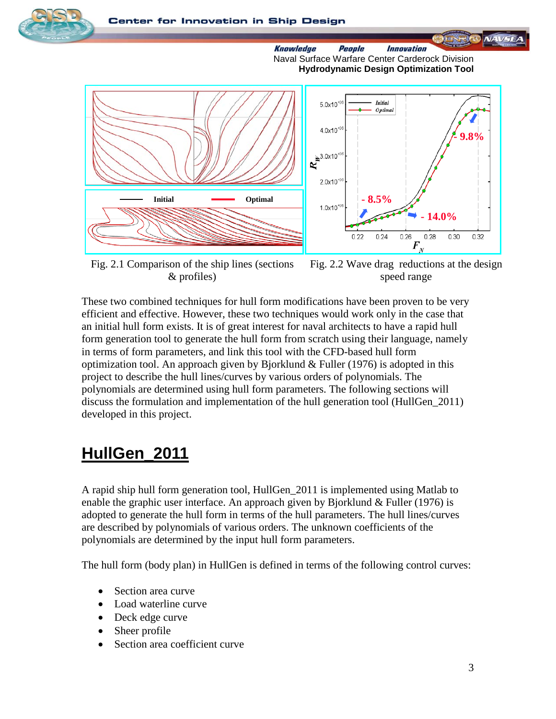



Fig. 2.1 Comparison of the ship lines (sections & profiles)

Fig. 2.2 Wave drag reductions at the design speed range

These two combined techniques for hull form modifications have been proven to be very efficient and effective. However, these two techniques would work only in the case that an initial hull form exists. It is of great interest for naval architects to have a rapid hull form generation tool to generate the hull form from scratch using their language, namely in terms of form parameters, and link this tool with the CFD-based hull form optimization tool. An approach given by Bjorklund & Fuller (1976) is adopted in this project to describe the hull lines/curves by various orders of polynomials. The polynomials are determined using hull form parameters. The following sections will discuss the formulation and implementation of the hull generation tool (HullGen\_2011) developed in this project.

# **HullGen\_2011**

A rapid ship hull form generation tool, HullGen\_2011 is implemented using Matlab to enable the graphic user interface. An approach given by Bjorklund  $&$  Fuller (1976) is adopted to generate the hull form in terms of the hull parameters. The hull lines/curves are described by polynomials of various orders. The unknown coefficients of the polynomials are determined by the input hull form parameters.

The hull form (body plan) in HullGen is defined in terms of the following control curves:

- Section area curve
- Load waterline curve
- Deck edge curve
- Sheer profile
- Section area coefficient curve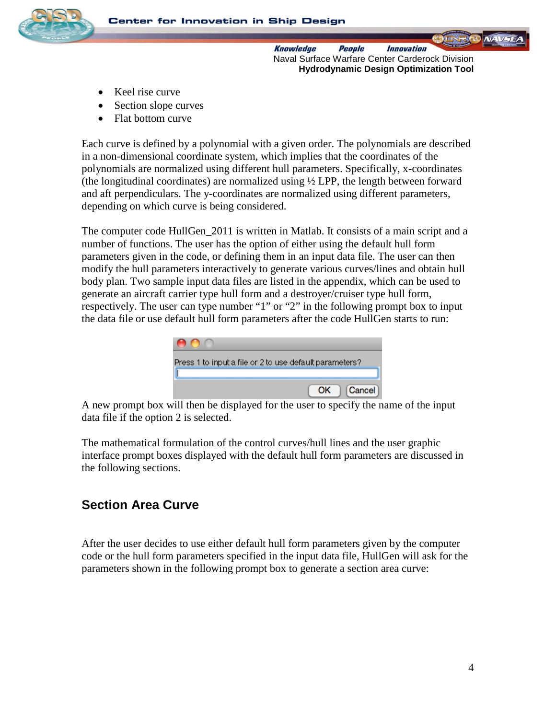

- Keel rise curve
- Section slope curves
- Flat bottom curve

Each curve is defined by a polynomial with a given order. The polynomials are described in a non-dimensional coordinate system, which implies that the coordinates of the polynomials are normalized using different hull parameters. Specifically, x-coordinates (the longitudinal coordinates) are normalized using ½ LPP, the length between forward and aft perpendiculars. The y-coordinates are normalized using different parameters, depending on which curve is being considered.

The computer code HullGen 2011 is written in Matlab. It consists of a main script and a number of functions. The user has the option of either using the default hull form parameters given in the code, or defining them in an input data file. The user can then modify the hull parameters interactively to generate various curves/lines and obtain hull body plan. Two sample input data files are listed in the appendix, which can be used to generate an aircraft carrier type hull form and a destroyer/cruiser type hull form, respectively. The user can type number "1" or "2" in the following prompt box to input the data file or use default hull form parameters after the code HullGen starts to run:

| Press 1 to input a file or 2 to use default parameters? |
|---------------------------------------------------------|
| Cancel<br>ΩK                                            |

A new prompt box will then be displayed for the user to specify the name of the input data file if the option 2 is selected.

The mathematical formulation of the control curves/hull lines and the user graphic interface prompt boxes displayed with the default hull form parameters are discussed in the following sections.

### **Section Area Curve**

After the user decides to use either default hull form parameters given by the computer code or the hull form parameters specified in the input data file, HullGen will ask for the parameters shown in the following prompt box to generate a section area curve: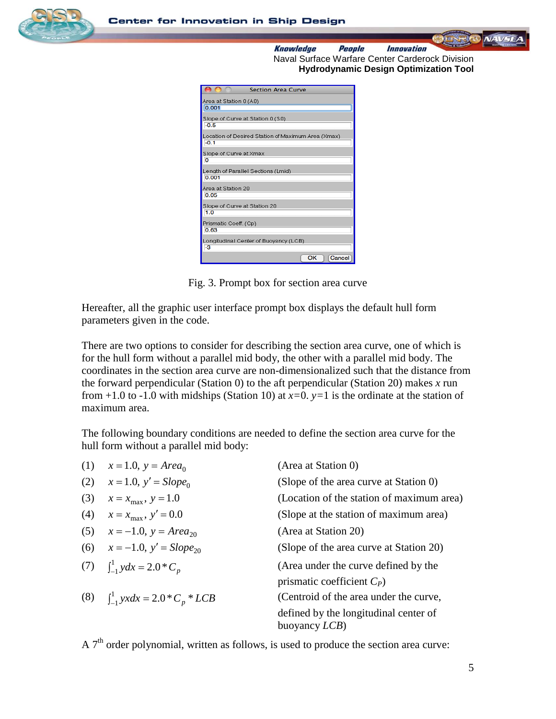



| <b>Section Area Curve</b>                                    |
|--------------------------------------------------------------|
| Area at Station 0 (A0)                                       |
| 0.001                                                        |
| Slope of Curve at Station 0 (S0)<br>$-0.5$                   |
| Location of Desired Station of Maximum Area (Xmax)<br>$-0.1$ |
| Slope of Curve at Xmax<br>o                                  |
| Length of Parallel Sections (Lmid)<br>0.001                  |
| Area at Station 20                                           |
| 0.05                                                         |
| Slope of Curve at Station 20                                 |
| 1.0                                                          |
| Prismatic Coeff. (Cp)                                        |
| 0.63                                                         |
| Longitudinal Center of Buoyancy (LCB)                        |
| -3                                                           |
| ОК<br>Cancel                                                 |

Fig. 3. Prompt box for section area curve

Hereafter, all the graphic user interface prompt box displays the default hull form parameters given in the code.

There are two options to consider for describing the section area curve, one of which is for the hull form without a parallel mid body, the other with a parallel mid body. The coordinates in the section area curve are non-dimensionalized such that the distance from the forward perpendicular (Station 0) to the aft perpendicular (Station 20) makes *x* run from  $+1.0$  to  $-1.0$  with midships (Station 10) at  $x=0$ .  $y=1$  is the ordinate at the station of maximum area.

The following boundary conditions are needed to define the section area curve for the hull form without a parallel mid body:

|     | (1) $x = 1.0, y = Area_0$                             | (Area at Station 0)                                            |
|-----|-------------------------------------------------------|----------------------------------------------------------------|
| (2) | $x = 1.0, y' = Slope_0$                               | (Slope of the area curve at Station 0)                         |
| (3) | $x = x_{\text{max}}$ , $y = 1.0$                      | (Location of the station of maximum area)                      |
| (4) | $x = x_{\text{max}}$ , $y' = 0.0$                     | (Slope at the station of maximum area)                         |
|     | (5) $x = -1.0$ , $y = Area_{20}$                      | (Area at Station 20)                                           |
|     | (6) $x = -1.0, y' = Slope_{20}$                       | (Slope of the area curve at Station 20)                        |
|     | (7) $\int_{-1}^{1} y dx = 2.0 \cdot C_n$              | (Area under the curve defined by the                           |
|     |                                                       | prismatic coefficient $C_P$ )                                  |
|     | (8) $\int_{-1}^{1} yx dx = 2.0 \times C_p \times LCB$ | (Centroid of the area under the curve,                         |
|     |                                                       | defined by the longitudinal center of<br>buoyancy <i>LCB</i> ) |

A  $7<sup>th</sup>$  order polynomial, written as follows, is used to produce the section area curve: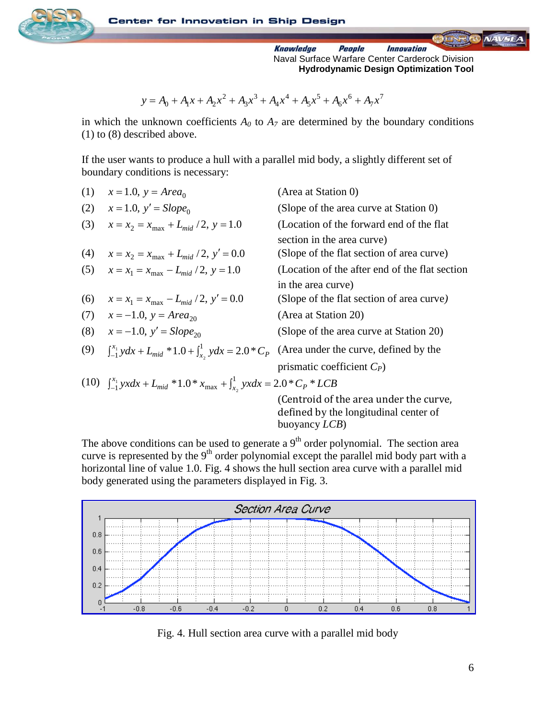

$$
y = A_0 + A_1 x + A_2 x^2 + A_3 x^3 + A_4 x^4 + A_5 x^5 + A_6 x^6 + A_7 x^7
$$

in which the unknown coefficients  $A_0$  to  $A_7$  are determined by the boundary conditions (1) to (8) described above.

If the user wants to produce a hull with a parallel mid body, a slightly different set of boundary conditions is necessary:

| (1) | $x = 1.0, y = Area_0$                                                                                          | (Area at Station 0)                                                                                      |
|-----|----------------------------------------------------------------------------------------------------------------|----------------------------------------------------------------------------------------------------------|
| (2) | $x = 1.0, y' = Slope_0$                                                                                        | (Slope of the area curve at Station 0)                                                                   |
| (3) | $x = x_2 = x_{\text{max}} + L_{mid}/2$ , $y = 1.0$                                                             | (Location of the forward end of the flat)<br>section in the area curve)                                  |
| (4) | $x = x_2 = x_{\text{max}} + L_{mid}/2$ , $y' = 0.0$                                                            | (Slope of the flat section of area curve)                                                                |
|     | (5) $x = x_1 = x_{\text{max}} - L_{mid}/2$ , $y = 1.0$                                                         | (Location of the after end of the flat section                                                           |
|     |                                                                                                                | in the area curve)                                                                                       |
| (6) | $x = x_1 = x_{\text{max}} - L_{mid}/2$ , $y' = 0.0$                                                            | (Slope of the flat section of area curve)                                                                |
|     | (7) $x = -1.0$ , $y = Area_{20}$                                                                               | (Area at Station 20)                                                                                     |
| (8) | $x = -1.0$ , $y' = Slope_{20}$                                                                                 | (Slope of the area curve at Station 20)                                                                  |
| (9) | $\int_{-1}^{x_1} y dx + L_{mid} * 1.0 + \int_{x_2}^{1} y dx = 2.0 * C_p$ (Area under the curve, defined by the |                                                                                                          |
|     |                                                                                                                | prismatic coefficient $C_P$ )                                                                            |
|     | (10) $\int_{-1}^{x_1} yx dx + L_{mid} * 1.0 * x_{max} + \int_{x_2}^{1} yx dx = 2.0 * C_p * LCB$                |                                                                                                          |
|     |                                                                                                                | (Centroid of the area under the curve,<br>defined by the longitudinal center of<br>buoyancy <i>LCB</i> ) |

The above conditions can be used to generate a  $9<sup>th</sup>$  order polynomial. The section area curve is represented by the  $9<sup>th</sup>$  order polynomial except the parallel mid body part with a horizontal line of value 1.0. Fig. 4 shows the hull section area curve with a parallel mid body generated using the parameters displayed in Fig. 3.



Fig. 4. Hull section area curve with a parallel mid body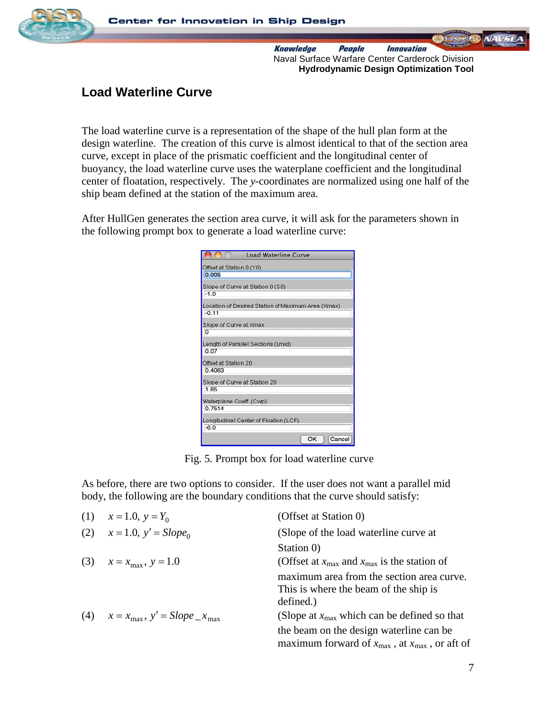

### **Load Waterline Curve**

The load waterline curve is a representation of the shape of the hull plan form at the design waterline. The creation of this curve is almost identical to that of the section area curve, except in place of the prismatic coefficient and the longitudinal center of buoyancy, the load waterline curve uses the waterplane coefficient and the longitudinal center of floatation, respectively. The *y*-coordinates are normalized using one half of the ship beam defined at the station of the maximum area.

After HullGen generates the section area curve, it will ask for the parameters shown in the following prompt box to generate a load waterline curve:

| <b>Load Waterline Curve</b>                                   |
|---------------------------------------------------------------|
| Offset at Station 0 (Y0)                                      |
| 0.005                                                         |
| Slope of Curve at Station 0 (S0)                              |
| $-1.0$                                                        |
| Location of Desired Station of Maximum Area (Xmax)<br>$-0.11$ |
| Slope of Curve at Xmax<br>$\overline{0}$                      |
| Lenath of Parallel Sections (Lmid)<br>0.07                    |
| Offset at Station 20<br>0.4063                                |
| Slope of Curve at Station 20<br>1.65                          |
| Waterplane Coeff. (Cwp)<br>0.7514                             |
| Longitudinal Center of Floation (LCF)<br>$-6.0$               |
| ОК<br>Cancel                                                  |

Fig. 5. Prompt box for load waterline curve

As before, there are two options to consider. If the user does not want a parallel mid body, the following are the boundary conditions that the curve should satisfy:

| (1) | $x = 1.0, y = Y_0$                                     | (Offset at Station 0)                                                                                            |
|-----|--------------------------------------------------------|------------------------------------------------------------------------------------------------------------------|
| (2) | $x = 1.0, y' = Slope_0$                                | (Slope of the load waterline curve at                                                                            |
|     |                                                        | Station 0)                                                                                                       |
|     | (3) $x = x_{\text{max}}$ , $y = 1.0$                   | (Offset at $x_{\text{max}}$ and $x_{\text{max}}$ is the station of                                               |
|     |                                                        | maximum area from the section area curve.<br>This is where the beam of the ship is<br>defined.)                  |
|     | (4) $x = x_{\text{max}}$ , $y' = Slope_x_{\text{max}}$ | (Slope at $x_{\text{max}}$ which can be defined so that                                                          |
|     |                                                        | the beam on the design waterline can be<br>maximum forward of $x_{\text{max}}$ , at $x_{\text{max}}$ , or aft of |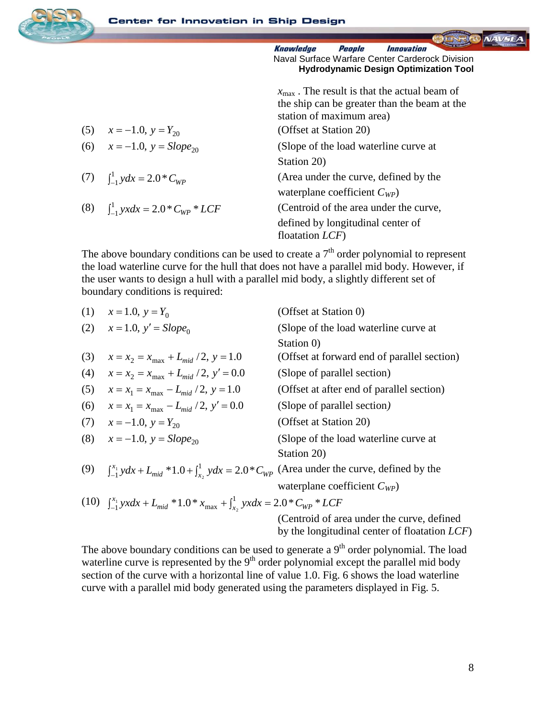

| (5) $x = -1.0, y = Y_{20}$      |
|---------------------------------|
| (6) $x = -1.0$ $y = Slone_{20}$ |

(7)  $\int_{-1}^{1} y dx =$ 

(8) 
$$
\int_{-1}^{1} yx dx = 2.0 * C_{WP} * LCF
$$

 $x_{\text{max}}$ . The result is that the actual beam of the ship can be greater than the beam at the station of maximum area) (Offset at Station 20) 1.0,  $y = Slope_{20}$  (Slope of the load waterline curve at Station 20) (Area under the curve, defined by the waterplane coefficient *CWP*) (Centroid of the area under the curve, defined by longitudinal center of floatation *LCF*)

The above boundary conditions can be used to create a  $7<sup>th</sup>$  order polynomial to represent the load waterline curve for the hull that does not have a parallel mid body. However, if the user wants to design a hull with a parallel mid body, a slightly different set of boundary conditions is required:

|     | (1) $x = 1.0, y = Y_0$                                                                                                | (Offset at Station 0)                            |
|-----|-----------------------------------------------------------------------------------------------------------------------|--------------------------------------------------|
|     | (2) $x = 1.0, y' = Slope_0$                                                                                           | (Slope of the load waterline curve at            |
|     |                                                                                                                       | Station 0)                                       |
| (3) | $x = x_2 = x_{\text{max}} + L_{mid}/2$ , $y = 1.0$                                                                    | (Offset at forward end of parallel section)      |
| (4) | $x = x_2 = x_{\text{max}} + L_{mid}/2$ , $y' = 0.0$                                                                   | (Slope of parallel section)                      |
| (5) | $x = x_1 = x_{\text{max}} - L_{mid}/2$ , $y = 1.0$                                                                    | (Offset at after end of parallel section)        |
| (6) | $x = x_1 = x_{\text{max}} - L_{mid}/2$ , $y' = 0.0$                                                                   | (Slope of parallel section)                      |
| (7) | $x = -1.0, y = Y_{20}$                                                                                                | (Offset at Station 20)                           |
| (8) | $x = -1.0$ , $y = Slope_{20}$                                                                                         | (Slope of the load waterline curve at            |
|     |                                                                                                                       | Station 20)                                      |
|     | (9) $\int_{-1}^{x_1} y dx + L_{mid} * 1.0 + \int_{x_2}^{1} y dx = 2.0 * C_{WP}$ (Area under the curve, defined by the |                                                  |
|     |                                                                                                                       | waterplane coefficient $C_{WP}$ )                |
|     | (10) $\int_{-1}^{x_1} yx dx + L_{mid} * 1.0 * x_{max} + \int_{x_2}^{1} yx dx = 2.0 * C_{WP} * LCF$                    |                                                  |
|     |                                                                                                                       | (Centroid of area under the curve, defined       |
|     |                                                                                                                       | by the longitudinal center of floatation $LCF$ ) |

The above boundary conditions can be used to generate a  $9<sup>th</sup>$  order polynomial. The load waterline curve is represented by the  $9<sup>th</sup>$  order polynomial except the parallel mid body section of the curve with a horizontal line of value 1.0. Fig. 6 shows the load waterline curve with a parallel mid body generated using the parameters displayed in Fig. 5.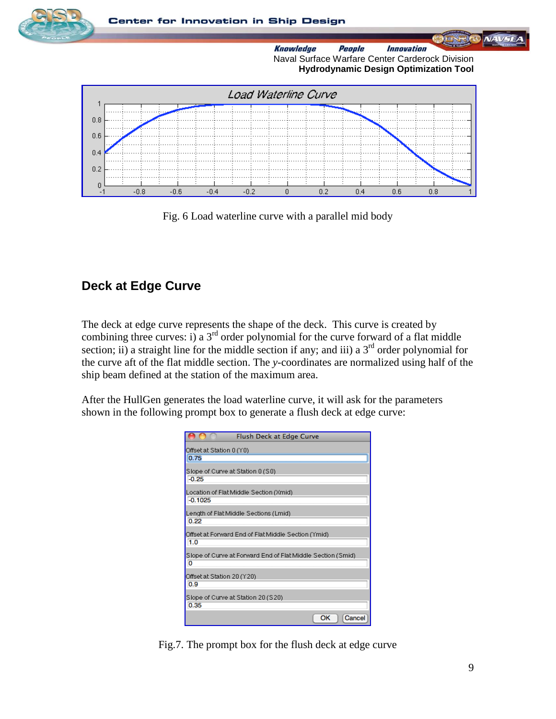



Fig. 6 Load waterline curve with a parallel mid body

### **Deck at Edge Curve**

The deck at edge curve represents the shape of the deck. This curve is created by combining three curves: i) a  $3<sup>rd</sup>$  order polynomial for the curve forward of a flat middle section; ii) a straight line for the middle section if any; and iii) a  $3<sup>rd</sup>$  order polynomial for the curve aft of the flat middle section. The *y*-coordinates are normalized using half of the ship beam defined at the station of the maximum area.

After the HullGen generates the load waterline curve, it will ask for the parameters shown in the following prompt box to generate a flush deck at edge curve:

| Flush Deck at Edge Curve                                         |
|------------------------------------------------------------------|
| Offset at Station 0 (Y0)<br>0.75                                 |
| Slope of Curve at Station 0 (S0)<br>$-0.25$                      |
| Location of Flat Middle Section (Xmid)<br>$-0.1025$              |
| Length of Flat Middle Sections (Lmid)<br>0.22                    |
| Offset at Forward End of Flat Middle Section (Ymid)<br>1.0       |
| Slope of Curve at Forward End of Flat Middle Section (Smid)<br>о |
| Offset at Station 20 (Y20)<br>0.9                                |
| Slope of Curve at Station 20 (S20)<br>0.35                       |
| ОК<br>Cancel                                                     |

Fig.7. The prompt box for the flush deck at edge curve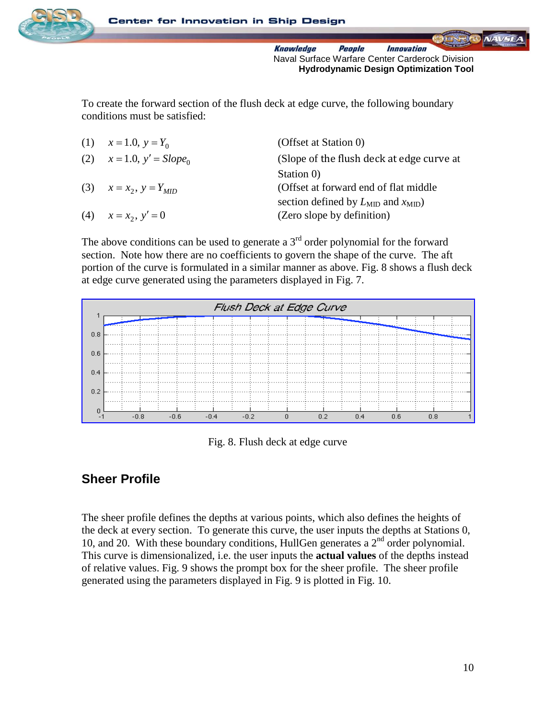

To create the forward section of the flush deck at edge curve, the following boundary conditions must be satisfied:

| (Offset at Station 0)<br>(1) $x = 1.0, y = Y_0$                          |  |
|--------------------------------------------------------------------------|--|
| (Slope of the flush deck at edge curve at<br>(2) $x = 1.0, y' = Slope_0$ |  |
| Station 0)                                                               |  |
| (Offset at forward end of flat middle)<br>(3) $x = x_2, y = Y_{MID}$     |  |
| section defined by $L_{\text{MID}}$ and $x_{\text{MID}}$ )               |  |
| (Zero slope by definition)<br>(4) $x = x_2, y' = 0$                      |  |

The above conditions can be used to generate a  $3<sup>rd</sup>$  order polynomial for the forward section. Note how there are no coefficients to govern the shape of the curve. The aft portion of the curve is formulated in a similar manner as above. Fig. 8 shows a flush deck at edge curve generated using the parameters displayed in Fig. 7.



Fig. 8. Flush deck at edge curve

### **Sheer Profile**

The sheer profile defines the depths at various points, which also defines the heights of the deck at every section. To generate this curve, the user inputs the depths at Stations 0, 10, and 20. With these boundary conditions, HullGen generates a  $2<sup>nd</sup>$  order polynomial. This curve is dimensionalized, i.e. the user inputs the **actual values** of the depths instead of relative values. Fig. 9 shows the prompt box for the sheer profile. The sheer profile generated using the parameters displayed in Fig. 9 is plotted in Fig. 10.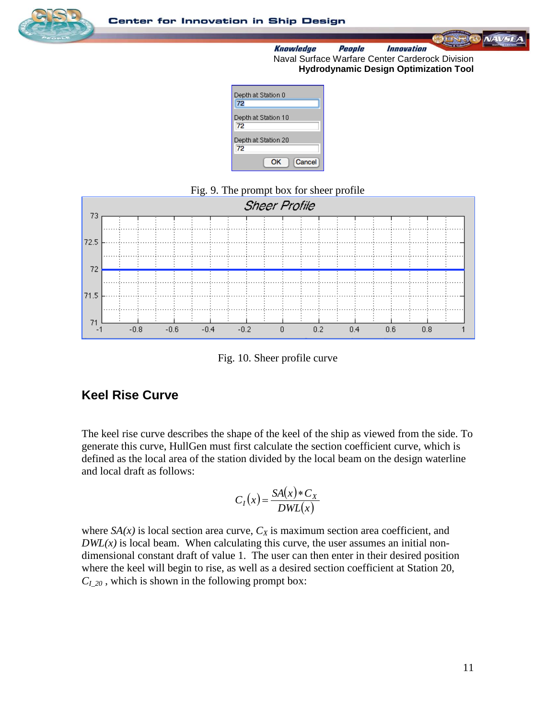

 $NAV =$ 

**Knowledge** *Innovation* People Naval Surface Warfare Center Carderock Division **Hydrodynamic Design Optimization Tool**

| Depth at Station 0<br>72  |
|---------------------------|
| Depth at Station 10<br>72 |
| Depth at Station 20<br>72 |
| Cancel<br>ОΚ              |

### Fig. 9. The prompt box for sheer profile



Fig. 10. Sheer profile curve

### **Keel Rise Curve**

The keel rise curve describes the shape of the keel of the ship as viewed from the side. To generate this curve, HullGen must first calculate the section coefficient curve, which is defined as the local area of the station divided by the local beam on the design waterline and local draft as follows:

$$
C_I(x) = \frac{SA(x) * C_X}{DWL(x)}
$$

where  $SA(x)$  is local section area curve,  $C_X$  is maximum section area coefficient, and  $DWL(x)$  is local beam. When calculating this curve, the user assumes an initial nondimensional constant draft of value 1. The user can then enter in their desired position where the keel will begin to rise, as well as a desired section coefficient at Station 20,  $C<sub>I</sub>$ <sub>20</sub>, which is shown in the following prompt box: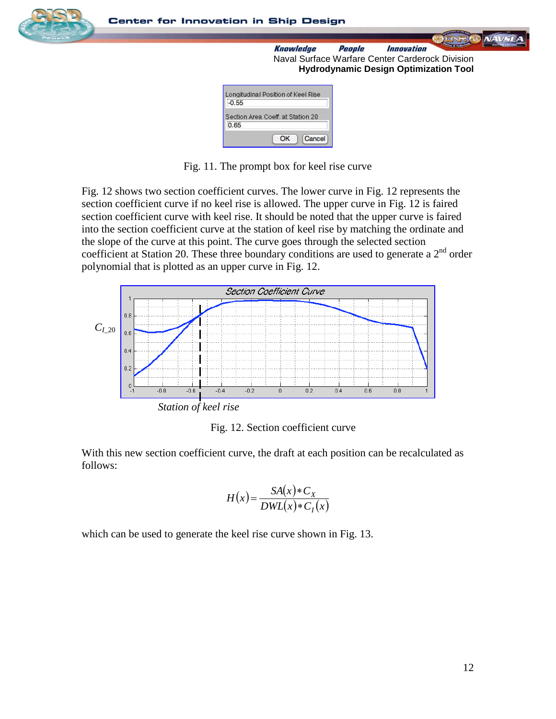

**Center for Innovation in Ship Design** 

**Knowledge** *Innovation* People Naval Surface Warfare Center Carderock Division **Hydrodynamic Design Optimization Tool**

| Longitudinal Position of Keel Rise<br>0.55 |
|--------------------------------------------|
| Section Area Coeff. at Station 20<br>0.65  |
| Cancel<br>OΚ                               |

Fig. 11. The prompt box for keel rise curve

Fig. 12 shows two section coefficient curves. The lower curve in Fig. 12 represents the section coefficient curve if no keel rise is allowed. The upper curve in Fig. 12 is faired section coefficient curve with keel rise. It should be noted that the upper curve is faired into the section coefficient curve at the station of keel rise by matching the ordinate and the slope of the curve at this point. The curve goes through the selected section coefficient at Station 20. These three boundary conditions are used to generate a  $2<sup>nd</sup>$  order polynomial that is plotted as an upper curve in Fig. 12.



Fig. 12. Section coefficient curve

With this new section coefficient curve, the draft at each position can be recalculated as follows:

$$
H(x) = \frac{SA(x) * C_X}{DWL(x) * C_I(x)}
$$

which can be used to generate the keel rise curve shown in Fig. 13.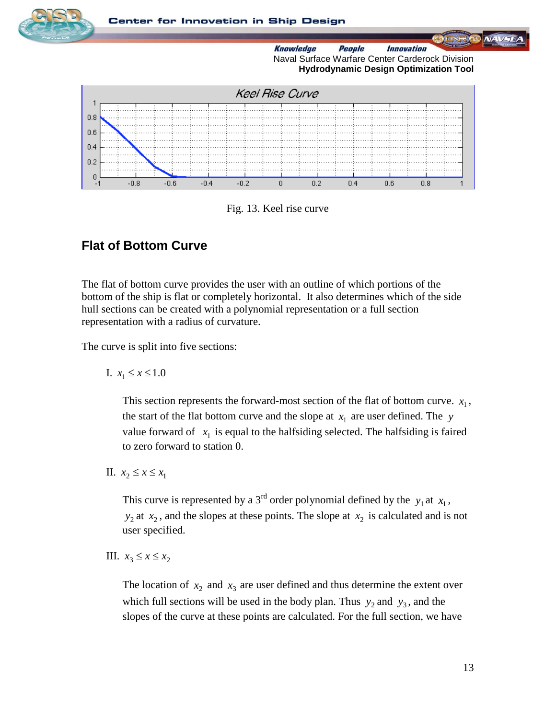

Fig. 13. Keel rise curve

### **Flat of Bottom Curve**

The flat of bottom curve provides the user with an outline of which portions of the bottom of the ship is flat or completely horizontal. It also determines which of the side hull sections can be created with a polynomial representation or a full section representation with a radius of curvature.

The curve is split into five sections:

I.  $x_1$  ≤  $x$  ≤ 1.0

This section represents the forward-most section of the flat of bottom curve.  $x_1$ , the start of the flat bottom curve and the slope at  $x_1$  are user defined. The *y* value forward of  $x_1$  is equal to the halfsiding selected. The halfsiding is faired to zero forward to station 0.

II.  $x_2$  ≤  $x$  ≤  $x_1$ 

This curve is represented by a 3<sup>rd</sup> order polynomial defined by the  $y_1$  at  $x_1$ ,  $y_2$  at  $x_2$ , and the slopes at these points. The slope at  $x_2$  is calculated and is not user specified.

III.  $x_3$  ≤  $x$  ≤  $x_2$ 

The location of  $x_2$  and  $x_3$  are user defined and thus determine the extent over which full sections will be used in the body plan. Thus  $y_2$  and  $y_3$ , and the slopes of the curve at these points are calculated. For the full section, we have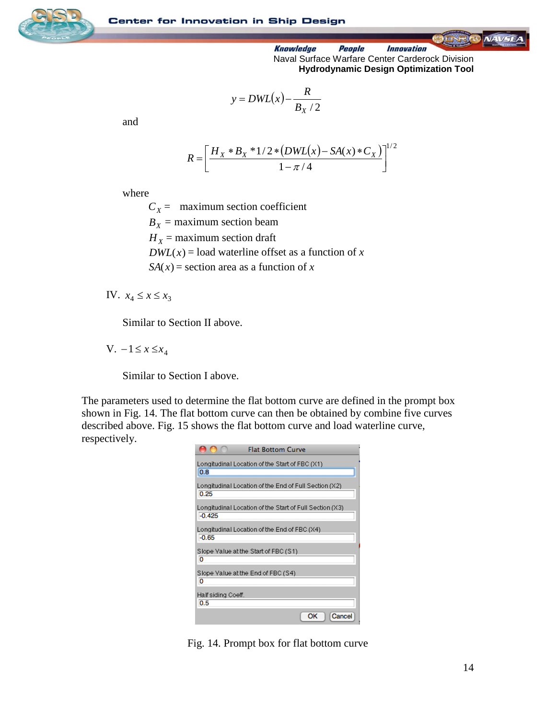



$$
y = DWL(x) - \frac{R}{B_X / 2}
$$

and

$$
R = \left[ \frac{H_X * B_X * 1/2 * (DWL(x) - SA(x) * C_X)}{1 - \pi / 4} \right]^{1/2}
$$

where

 $C_X$  = maximum section coefficient  $B_X$  = maximum section beam

 $H_X$  = maximum section draft

 $DWL(x) =$ load waterline offset as a function of *x* 

 $SA(x)$  = section area as a function of *x* 

IV.  $x_4 \le x \le x_3$ 

Similar to Section II above.

 $V. -1 ≤ x ≤ x<sub>4</sub>$ 

Similar to Section I above.

The parameters used to determine the flat bottom curve are defined in the prompt box shown in Fig. 14. The flat bottom curve can then be obtained by combine five curves described above. Fig. 15 shows the flat bottom curve and load waterline curve, respectively.

| <b>Flat Bottom Curve</b>                                             |  |
|----------------------------------------------------------------------|--|
| Longitudinal Location of the Start of FBC (X1)<br>0.8                |  |
| Longitudinal Location of the End of Full Section (X2)<br>0.25        |  |
| Longitudinal Location of the Start of Full Section (X3).<br>$-0.425$ |  |
| Longitudinal Location of the End of FBC (X4)<br>$-0.65$              |  |
| Slope Value at the Start of FBC (S1)<br>O                            |  |
| Slope Value at the End of FBC (S4)<br>0                              |  |
| Half siding Coeff.<br>0.5                                            |  |
| ОΚ<br>Cancel                                                         |  |

Fig. 14. Prompt box for flat bottom curve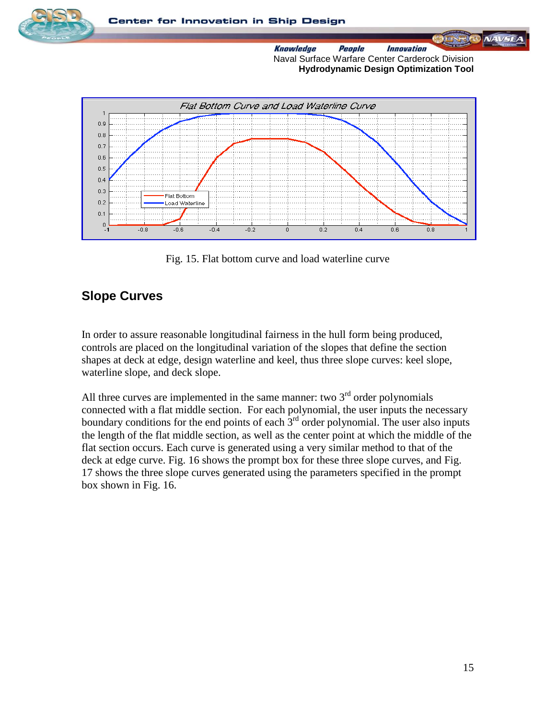

Fig. 15. Flat bottom curve and load waterline curve

### **Slope Curves**

In order to assure reasonable longitudinal fairness in the hull form being produced, controls are placed on the longitudinal variation of the slopes that define the section shapes at deck at edge, design waterline and keel, thus three slope curves: keel slope, waterline slope, and deck slope.

All three curves are implemented in the same manner: two  $3<sup>rd</sup>$  order polynomials connected with a flat middle section. For each polynomial, the user inputs the necessary boundary conditions for the end points of each  $3<sup>rd</sup>$  order polynomial. The user also inputs the length of the flat middle section, as well as the center point at which the middle of the flat section occurs. Each curve is generated using a very similar method to that of the deck at edge curve. Fig. 16 shows the prompt box for these three slope curves, and Fig. 17 shows the three slope curves generated using the parameters specified in the prompt box shown in Fig. 16.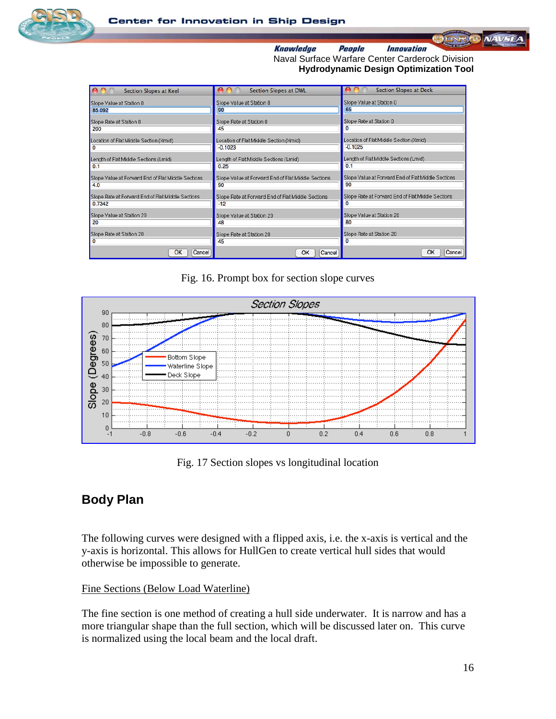



| Section Slopes at Keel                             | Section Slopes at DWL                              | <b>Section Slopes at Deck</b>                      |
|----------------------------------------------------|----------------------------------------------------|----------------------------------------------------|
| Slope Value at Station 0                           | Slope Value at Station 0                           | Slope Value at Station 0                           |
| 85.092                                             | 90                                                 | 65                                                 |
| Slope Rate at Station 0                            | Slope Rate at Station 0                            | Slope Rate at Station 0                            |
| 200                                                | 45                                                 |                                                    |
| Location of Flat Middle Section (Xmid)             | Location of Flat Middle Section (Xmid)             | Location of Flat Middle Section (Xmid)             |
| O                                                  | $-0.1023$                                          | $-0.1025$                                          |
| Length of Flat Middle Sections (Lmid)              | Length of Flat Middle Sections (Lmid)              | Length of Flat Middle Sections (Lmid)              |
| 0.1                                                | 0.25                                               | 0.1                                                |
| Slope Value at Forward End of Flat Middle Sections | Slope Value at Forward End of Flat Middle Sections | Slope Value at Forward End of Flat Middle Sections |
| 4.0                                                | 90                                                 | 90                                                 |
| Slope Rate at Forward End of Flat Middle Sections  | Slope Rate at Forward End of Flat Middle Sections  | Slope Rate at Forward End of Flat Middle Sections  |
| 0.7342                                             | $-12$                                              | o                                                  |
| Slope Value at Station 20                          | Slope Value at Station 20                          | Slope Value at Station 20                          |
| 20                                                 | 48                                                 | 80                                                 |
| Slope Rate at Station 20                           | Slope Rate at Station 20                           | Slope Rate at Station 20                           |
| 0                                                  | 45                                                 |                                                    |
| <b>OK</b><br>Cancel                                | ОК<br>Cancel                                       | OK<br>Cancel                                       |

Fig. 16. Prompt box for section slope curves



Fig. 17 Section slopes vs longitudinal location

### **Body Plan**

The following curves were designed with a flipped axis, i.e. the x-axis is vertical and the y-axis is horizontal. This allows for HullGen to create vertical hull sides that would otherwise be impossible to generate.

### Fine Sections (Below Load Waterline)

The fine section is one method of creating a hull side underwater. It is narrow and has a more triangular shape than the full section, which will be discussed later on. This curve is normalized using the local beam and the local draft.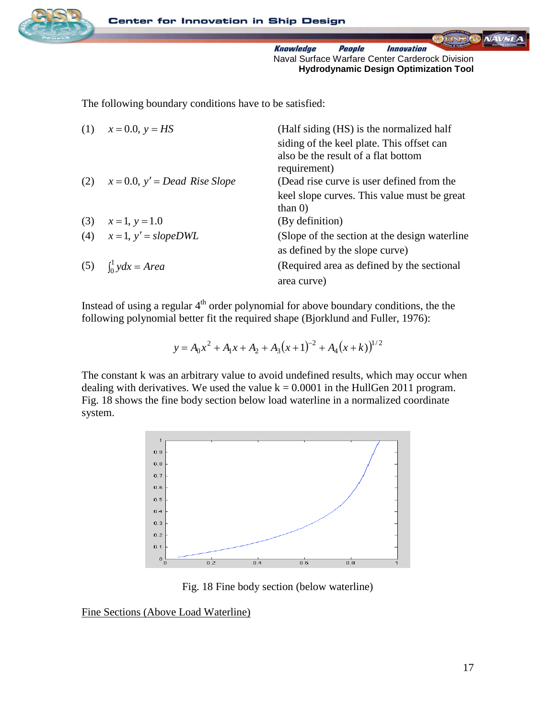

**NAV-SE** 

The following boundary conditions have to be satisfied:

| (1) $x = 0.0, y = HS$                  | (Half siding (HS) is the normalized half       |
|----------------------------------------|------------------------------------------------|
|                                        | siding of the keel plate. This offset can      |
|                                        | also be the result of a flat bottom            |
|                                        | requirement)                                   |
| (2) $x = 0.0$ , $y' = Dead$ Rise Slope | (Dead rise curve is user defined from the      |
|                                        | keel slope curves. This value must be great    |
|                                        | than $0$ )                                     |
| (3) $x=1, y=1.0$                       | (By definition)                                |
| (4) $x=1$ , $y'=slopeDWL$              | (Slope of the section at the design waterline) |
|                                        | as defined by the slope curve)                 |
| (5) $\int_0^1 y dx = Area$             | (Required area as defined by the sectional     |
|                                        | area curve)                                    |
|                                        |                                                |

Instead of using a regular  $4<sup>th</sup>$  order polynomial for above boundary conditions, the the following polynomial better fit the required shape (Bjorklund and Fuller, 1976):

> $(x+1)^{-2} + A_4(x+k)$ <sup>1/2</sup> 4 2  $_{1}x + A_{2} + A_{3}$  $y = A_0 x^2 + A_1 x + A_2 + A_3 (x+1)^{-2} + A_4 (x+k)$

The constant k was an arbitrary value to avoid undefined results, which may occur when dealing with derivatives. We used the value  $k = 0.0001$  in the HullGen 2011 program. Fig. 18 shows the fine body section below load waterline in a normalized coordinate system.



Fig. 18 Fine body section (below waterline)

Fine Sections (Above Load Waterline)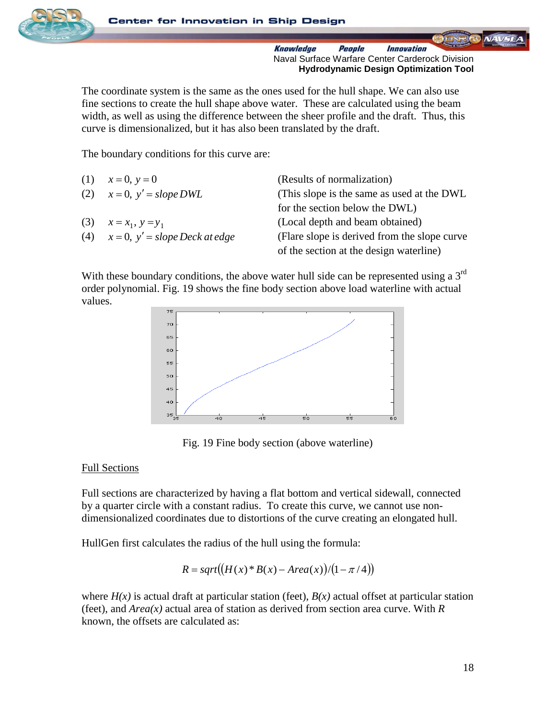

The coordinate system is the same as the ones used for the hull shape. We can also use fine sections to create the hull shape above water. These are calculated using the beam width, as well as using the difference between the sheer profile and the draft. Thus, this curve is dimensionalized, but it has also been translated by the draft.

The boundary conditions for this curve are:

| (1) $x = 0, y = 0$                      | (Results of normalization)                    |
|-----------------------------------------|-----------------------------------------------|
| (2) $x = 0, y' = slope DWL$             | (This slope is the same as used at the DWL)   |
|                                         | for the section below the DWL)                |
| (3) $x = x_1, y = y_1$                  | (Local depth and beam obtained)               |
| (4) $x = 0$ , $y' = slope$ Deck at edge | (Flare slope is derived from the slope curve) |
|                                         | of the section at the design waterline)       |

With these boundary conditions, the above water hull side can be represented using a  $3<sup>rd</sup>$ order polynomial. Fig. 19 shows the fine body section above load waterline with actual values.



Fig. 19 Fine body section (above waterline)

#### Full Sections

Full sections are characterized by having a flat bottom and vertical sidewall, connected by a quarter circle with a constant radius. To create this curve, we cannot use nondimensionalized coordinates due to distortions of the curve creating an elongated hull.

HullGen first calculates the radius of the hull using the formula:

$$
R = sqrt((H(x)*B(x) - Area(x))/(1 - \pi/4))
$$

where  $H(x)$  is actual draft at particular station (feet),  $B(x)$  actual offset at particular station (feet), and *Area(x)* actual area of station as derived from section area curve. With *R* known, the offsets are calculated as: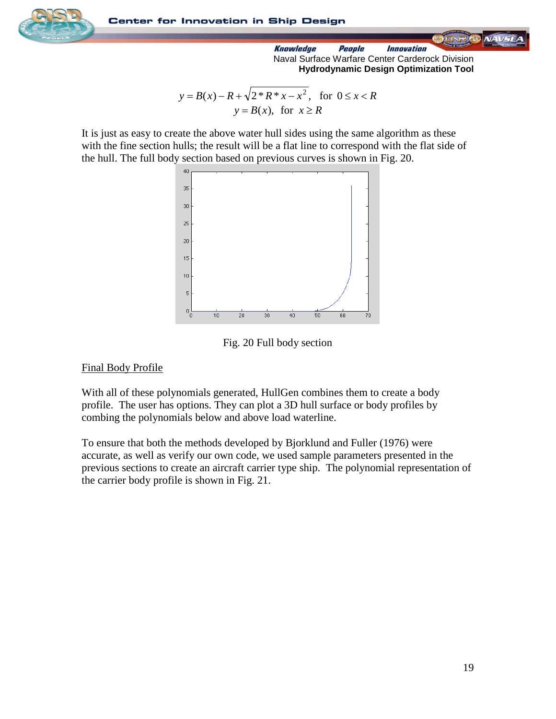

$$
y = B(x) - R + \sqrt{2 * R * x - x^2}, \text{ for } 0 \le x < R
$$
\n
$$
y = B(x), \text{ for } x \ge R
$$

It is just as easy to create the above water hull sides using the same algorithm as these with the fine section hulls; the result will be a flat line to correspond with the flat side of the hull. The full body section based on previous curves is shown in Fig. 20.



Fig. 20 Full body section

### Final Body Profile

With all of these polynomials generated, HullGen combines them to create a body profile. The user has options. They can plot a 3D hull surface or body profiles by combing the polynomials below and above load waterline.

To ensure that both the methods developed by Bjorklund and Fuller (1976) were accurate, as well as verify our own code, we used sample parameters presented in the previous sections to create an aircraft carrier type ship. The polynomial representation of the carrier body profile is shown in Fig. 21.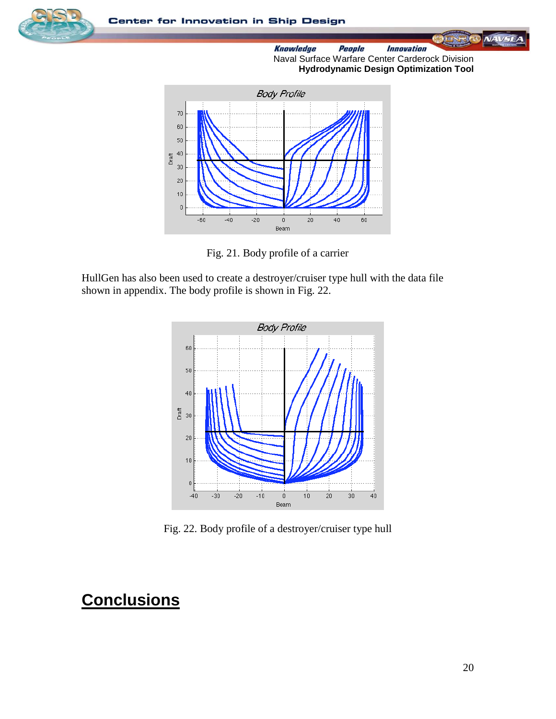





Fig. 21. Body profile of a carrier

HullGen has also been used to create a destroyer/cruiser type hull with the data file shown in appendix. The body profile is shown in Fig. 22.



Fig. 22. Body profile of a destroyer/cruiser type hull

## **Conclusions**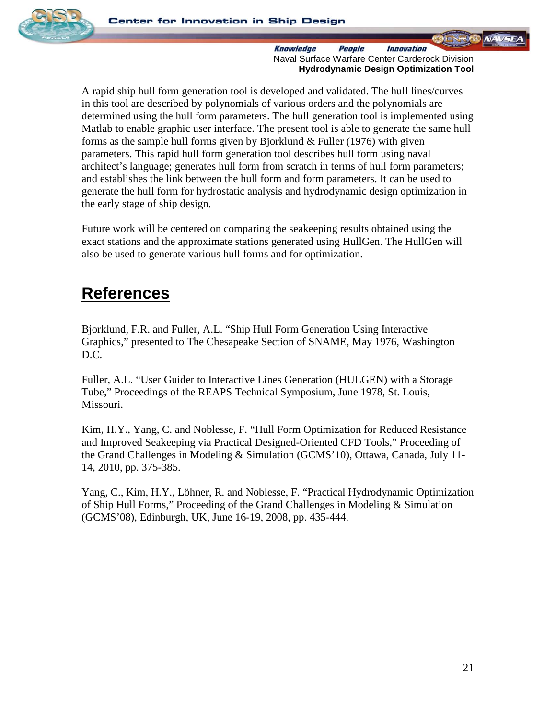

A rapid ship hull form generation tool is developed and validated. The hull lines/curves in this tool are described by polynomials of various orders and the polynomials are determined using the hull form parameters. The hull generation tool is implemented using Matlab to enable graphic user interface. The present tool is able to generate the same hull forms as the sample hull forms given by Bjorklund  $&$  Fuller (1976) with given parameters. This rapid hull form generation tool describes hull form using naval architect's language; generates hull form from scratch in terms of hull form parameters; and establishes the link between the hull form and form parameters. It can be used to generate the hull form for hydrostatic analysis and hydrodynamic design optimization in the early stage of ship design.

Future work will be centered on comparing the seakeeping results obtained using the exact stations and the approximate stations generated using HullGen. The HullGen will also be used to generate various hull forms and for optimization.

## **References**

Bjorklund, F.R. and Fuller, A.L. "Ship Hull Form Generation Using Interactive Graphics," presented to The Chesapeake Section of SNAME, May 1976, Washington D.C.

Fuller, A.L. "User Guider to Interactive Lines Generation (HULGEN) with a Storage Tube," Proceedings of the REAPS Technical Symposium, June 1978, St. Louis, Missouri.

Kim, H.Y., Yang, C. and Noblesse, F. "Hull Form Optimization for Reduced Resistance and Improved Seakeeping via Practical Designed-Oriented CFD Tools," Proceeding of the Grand Challenges in Modeling & Simulation (GCMS'10), Ottawa, Canada, July 11- 14, 2010, pp. 375-385.

Yang, C., Kim, H.Y., Löhner, R. and Noblesse, F. "Practical Hydrodynamic Optimization of Ship Hull Forms," Proceeding of the Grand Challenges in Modeling & Simulation (GCMS'08), Edinburgh, UK, June 16-19, 2008, pp. 435-444.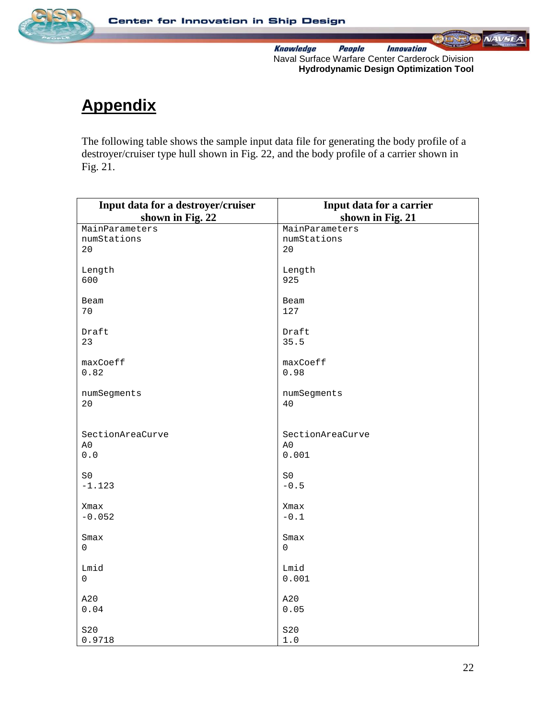

**NAVSE** *Innovation* **Knowledge** People Naval Surface Warfare Center Carderock Division **Hydrodynamic Design Optimization Tool**

# **Appendix**

The following table shows the sample input data file for generating the body profile of a destroyer/cruiser type hull shown in Fig. 22, and the body profile of a carrier shown in Fig. 21.

| Input data for a destroyer/cruiser | Input data for a carrier                                                                             |
|------------------------------------|------------------------------------------------------------------------------------------------------|
| shown in Fig. 22                   | shown in Fig. 21                                                                                     |
| MainParameters                     | MainParameters                                                                                       |
| numStations<br>20                  | numStations<br>20                                                                                    |
|                                    |                                                                                                      |
| Length                             | Length                                                                                               |
| 600                                | 925                                                                                                  |
| Beam                               | Beam                                                                                                 |
| 70                                 | 127                                                                                                  |
|                                    |                                                                                                      |
| Draft                              | Draft                                                                                                |
| 23                                 | 35.5                                                                                                 |
| maxCoeff                           | maxCoeff                                                                                             |
| 0.82                               | 0.98                                                                                                 |
|                                    |                                                                                                      |
| numSegments                        | numSegments                                                                                          |
| 20                                 | 40                                                                                                   |
|                                    |                                                                                                      |
| SectionAreaCurve                   | SectionAreaCurve                                                                                     |
| A0                                 | A0                                                                                                   |
| $0.0$                              | 0.001                                                                                                |
| SO                                 | SO                                                                                                   |
| $-1.123$                           | $-0.5$                                                                                               |
|                                    |                                                                                                      |
| Xmax<br>$-0.052$                   | Xmax<br>$\mathord{\hspace{1pt}\text{--}\hspace{1pt}} 0\mathbin{\hspace{1pt}\text{--}\hspace{1pt}} 1$ |
|                                    |                                                                                                      |
| Smax                               | Smax                                                                                                 |
| 0                                  | $\mathbf 0$                                                                                          |
| Lmid                               | Lmid                                                                                                 |
| 0                                  | 0.001                                                                                                |
|                                    |                                                                                                      |
| A20                                | A20                                                                                                  |
| 0.04                               | 0.05                                                                                                 |
| S20                                | S20                                                                                                  |
| 0.9718                             | $1.0\,$                                                                                              |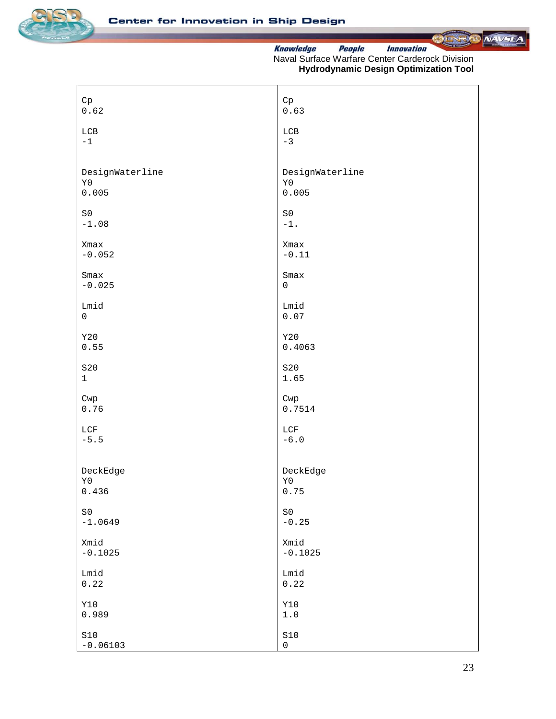



| Cp                        | ${\rm Cp}$             |
|---------------------------|------------------------|
| 0.62                      | 0.63                   |
| $_{\rm LCB}$<br>$-1$      | $_{\rm LCB}$<br>$-3$   |
|                           |                        |
| DesignWaterline           | DesignWaterline        |
| $\mathtt{Y0}$<br>0.005    | $\mathtt{Y}0$<br>0.005 |
| $\mbox{S0}$               | $\mbox{S0}$            |
| $-1.08$                   | $-1$ .                 |
| Xmax                      | Xmax                   |
| $-0.052$                  | $-0.11$                |
| Smax                      | Smax                   |
| $-0.025$                  | $\mathsf{O}\xspace$    |
| Lmid<br>$\mathsf 0$       | Lmid<br>0.07           |
|                           |                        |
| <b>Y20</b><br>0.55        | Y20<br>0.4063          |
| S20                       | S20                    |
| $\mathbf 1$               | 1.65                   |
| Cwp                       | Cwp                    |
| 0.76                      | 0.7514                 |
| LCF                       | $_{\rm LCF}$           |
| $-5.5$                    | $-6.0$                 |
|                           | DeckEdge               |
| DeckEdge<br>$\mathtt{Y}0$ | $\mathtt{Y}0$          |
| 0.436                     | 0.75                   |
| SO                        | $\mbox{S0}$            |
| $-1.0649$                 | $-0.25$                |
| Xmid<br>$-0.1025$         | Xmid<br>$-0.1025$      |
|                           |                        |
| Lmid<br>0.22              | Lmid<br>0.22           |
| <b>Y10</b>                | <b>Y10</b>             |
| 0.989                     | $1\,.$ $0$             |
| $\texttt{S10}$            | $\verb S10 $           |
| $-0.06103$                | $\mathsf{O}\xspace$    |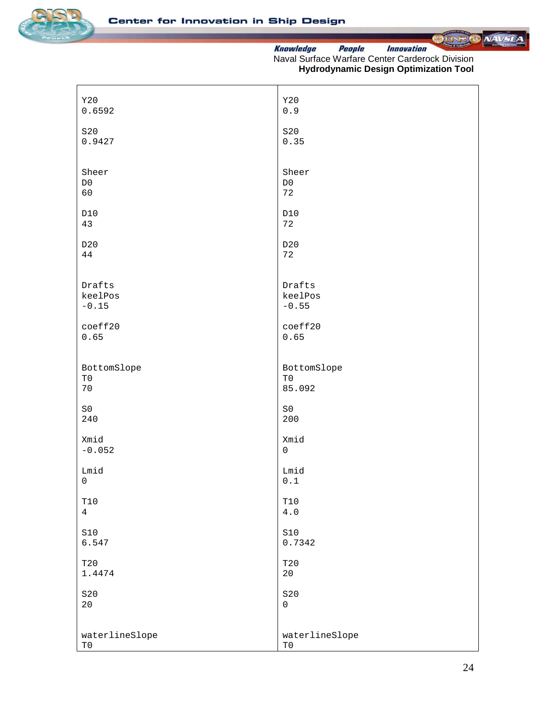



| Y20            | Y20                 |
|----------------|---------------------|
| 0.6592         | $0.9$               |
| S20            | S20                 |
| 0.9427         | 0.35                |
| Sheer          | Sheer               |
| $_{\rm D0}$    | $_{\rm D0}$         |
| 60             | 72                  |
| D10            | D10                 |
| 43             | 72                  |
| D20            | D20                 |
| 44             | 72                  |
| Drafts         | Drafts              |
| keelPos        | keelPos             |
| $-0.15$        | $-0.55$             |
| coeff20        | coeff20             |
| 0.65           | 0.65                |
| BottomSlope    | BottomSlope         |
| $\rm T0$       | $\rm T0$            |
| 70             | 85.092              |
| $\texttt{S}0$  | $\mbox{S0}$         |
| 240            | 200                 |
| Xmid           | Xmid                |
| $-0.052$       | $\mathsf{O}\xspace$ |
| Lmid           | Lmid                |
| $\mathbf 0$    | $0\,.1$             |
| $\mathtt{T10}$ | $\mathtt{T10}$      |
| $\overline{4}$ | $4.0$               |
| $\text{S}10$   | $\text{S}10$        |
| 6.547          | 0.7342              |
| T20            | T20                 |
| 1.4474         | 20                  |
| S20            | S20                 |
| $20\,$         | $\mathbf 0$         |
| waterlineSlope | waterlineSlope      |
| $\rm T0$       | $\rm T0$            |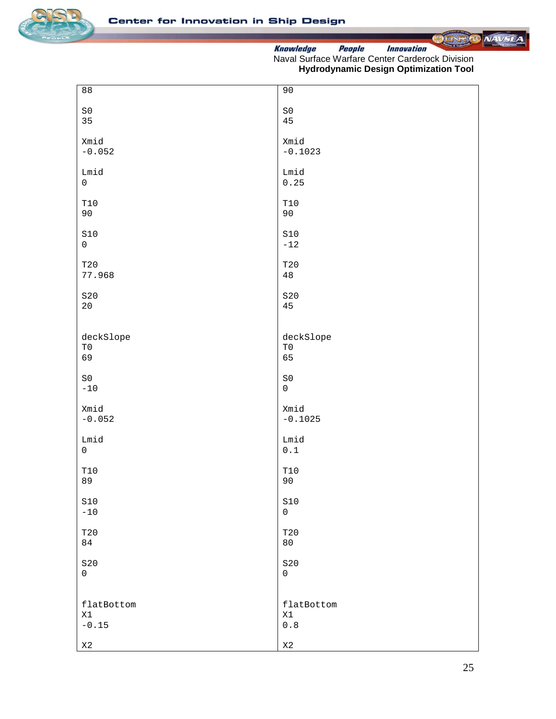



| 88                  | 90                                                                  |
|---------------------|---------------------------------------------------------------------|
| $\mbox{S0}$         | $\mbox{S}\,0$                                                       |
| 35                  | 45                                                                  |
| Xmid                | Xmid                                                                |
| $-0.052$            | $-0.1023$                                                           |
| Lmid                | Lmid                                                                |
| $\mathsf{O}\xspace$ | 0.25                                                                |
| $\mathtt{T10}$      | $\mathtt{T10}$                                                      |
| 90                  | 90                                                                  |
| $\verb S10 $        | $\texttt{S10}$                                                      |
| $\mathsf 0$         | $-12$                                                               |
| T20                 | T20                                                                 |
| 77.968              | $4\,8$                                                              |
| S20                 | S20                                                                 |
| $20\,$              | 45                                                                  |
| deckSlope           | deckSlope                                                           |
| $\rm T0$            | ${\rm T0}$                                                          |
| 69                  | 65                                                                  |
| $\mbox{S0}$         | $\mbox{S0}$                                                         |
| $-10$               | $\mathsf{O}\xspace$                                                 |
| Xmid                | Xmid                                                                |
| $-0.052$            | $-0.1025$                                                           |
| Lmid                | Lmid                                                                |
| $\mathsf 0$         | $\ensuremath{\text{o}} \xspace$ .<br>$\ensuremath{\text{1}}\xspace$ |
| $\mathtt{T10}$      | $\mathtt{T10}$                                                      |
| 89                  | 90                                                                  |
| $\verb S10 $        | $\verb S10 $                                                        |
| $-10$               | $\mathsf{O}\xspace$                                                 |
| T20                 | T20                                                                 |
| 84                  | 80                                                                  |
| S20                 | S20                                                                 |
| $\mathsf{O}\xspace$ | $\mathsf{O}$                                                        |
| flatBottom          | flatBottom                                                          |
| X1                  | X1                                                                  |
| $-0.15$             | $\ensuremath{\mathbf{0}}$ . $\ensuremath{\mathbf{8}}$               |
| X2                  | $\mathtt{X}2$                                                       |